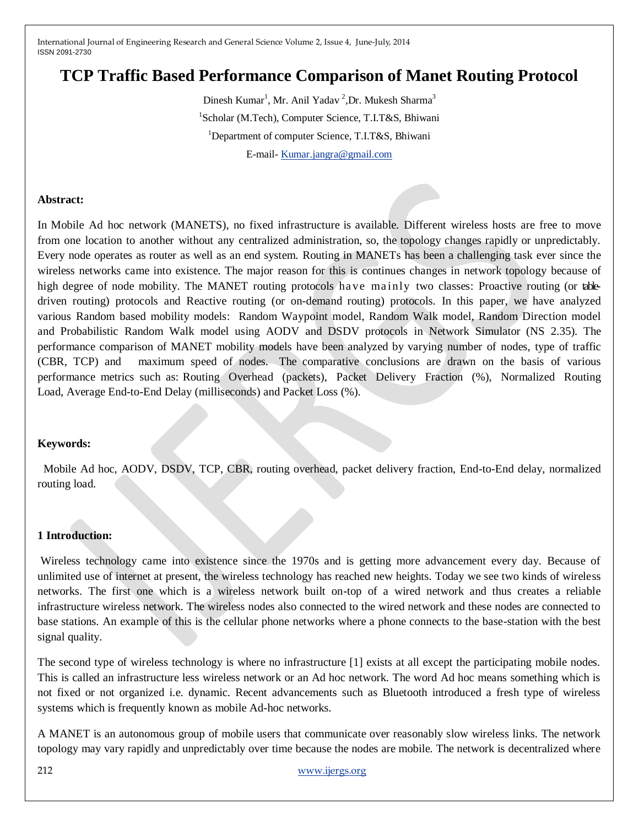# **TCP Traffic Based Performance Comparison of Manet Routing Protocol**

Dinesh Kumar<sup>1</sup>, Mr. Anil Yadav<sup>2</sup>, Dr. Mukesh Sharma<sup>3</sup> <sup>1</sup>Scholar (M.Tech), Computer Science, T.I.T&S, Bhiwani <sup>1</sup>Department of computer Science, T.I.T&S, Bhiwani E-mail- [Kumar.jangra@gmail.com](mailto:Kumar.jangra@gmail.com)

#### **Abstract:**

In Mobile Ad hoc network (MANETS), no fixed infrastructure is available. Different wireless hosts are free to move from one location to another without any centralized administration, so, the topology changes rapidly or unpredictably. Every node operates as router as well as an end system. Routing in MANETs has been a challenging task ever since the wireless networks came into existence. The major reason for this is continues changes in network topology because of high degree of node mobility. The MANET routing protocols have mainly two classes: Proactive routing (or tabledriven routing) protocols and Reactive routing (or on-demand routing) protocols. In this paper, we have analyzed various Random based mobility models: Random Waypoint model, Random Walk model, Random Direction model and Probabilistic Random Walk model using AODV and DSDV protocols in Network Simulator (NS 2.35). The performance comparison of MANET mobility models have been analyzed by varying number of nodes, type of traffic (CBR, TCP) and maximum speed of nodes. The comparative conclusions are drawn on the basis of various performance metrics such as: Routing Overhead (packets), Packet Delivery Fraction (%), Normalized Routing Load, Average End-to-End Delay (milliseconds) and Packet Loss (%).

#### **Keywords:**

 Mobile Ad hoc, AODV, DSDV, TCP, CBR, routing overhead, packet delivery fraction, End-to-End delay, normalized routing load.

#### **1 Introduction:**

Wireless technology came into existence since the 1970s and is getting more advancement every day. Because of unlimited use of internet at present, the wireless technology has reached new heights. Today we see two kinds of wireless networks. The first one which is a wireless network built on-top of a wired network and thus creates a reliable infrastructure wireless network. The wireless nodes also connected to the wired network and these nodes are connected to base stations. An example of this is the cellular phone networks where a phone connects to the base-station with the best signal quality.

The second type of wireless technology is where no infrastructure [1] exists at all except the participating mobile nodes. This is called an infrastructure less wireless network or an Ad hoc network. The word Ad hoc means something which is not fixed or not organized i.e. dynamic. Recent advancements such as Bluetooth introduced a fresh type of wireless systems which is frequently known as mobile Ad-hoc networks.

A MANET is an autonomous group of mobile users that communicate over reasonably slow wireless links. The network topology may vary rapidly and unpredictably over time because the nodes are mobile. The network is decentralized where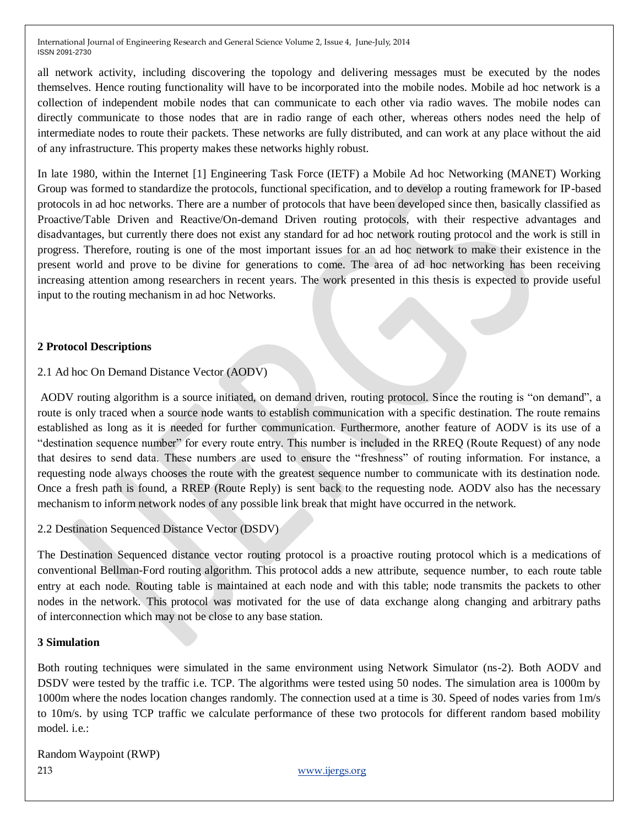all network activity, including discovering the topology and delivering messages must be executed by the nodes themselves. Hence routing functionality will have to be incorporated into the mobile nodes. Mobile ad hoc network is a collection of independent mobile nodes that can communicate to each other via radio waves. The mobile nodes can directly communicate to those nodes that are in radio range of each other, whereas others nodes need the help of intermediate nodes to route their packets. These networks are fully distributed, and can work at any place without the aid of any infrastructure. This property makes these networks highly robust.

In late 1980, within the Internet [1] Engineering Task Force (IETF) a Mobile Ad hoc Networking (MANET) Working Group was formed to standardize the protocols, functional specification, and to develop a routing framework for IP-based protocols in ad hoc networks. There are a number of protocols that have been developed since then, basically classified as Proactive/Table Driven and Reactive/On-demand Driven routing protocols, with their respective advantages and disadvantages, but currently there does not exist any standard for ad hoc network routing protocol and the work is still in progress. Therefore, routing is one of the most important issues for an ad hoc network to make their existence in the present world and prove to be divine for generations to come. The area of ad hoc networking has been receiving increasing attention among researchers in recent years. The work presented in this thesis is expected to provide useful input to the routing mechanism in ad hoc Networks.

### **2 Protocol Descriptions**

### 2.1 Ad hoc On Demand Distance Vector (AODV)

AODV routing algorithm is a source initiated, on demand driven, routing protocol. Since the routing is "on demand", a route is only traced when a source node wants to establish communication with a specific destination. The route remains established as long as it is needed for further communication. Furthermore, another feature of AODV is its use of a "destination sequence number" for every route entry. This number is included in the RREQ (Route Request) of any node that desires to send data. These numbers are used to ensure the "freshness" of routing information. For instance, a requesting node always chooses the route with the greatest sequence number to communicate with its destination node. Once a fresh path is found, a RREP (Route Reply) is sent back to the requesting node. AODV also has the necessary mechanism to inform network nodes of any possible link break that might have occurred in the network.

2.2 Destination Sequenced Distance Vector (DSDV)

The Destination Sequenced distance vector routing protocol is a proactive routing protocol which is a medications of conventional Bellman-Ford routing algorithm. This protocol adds a new attribute, sequence number, to each route table entry at each node. Routing table is maintained at each node and with this table; node transmits the packets to other nodes in the network. This protocol was motivated for the use of data exchange along changing and arbitrary paths of interconnection which may not be close to any base station.

### **3 Simulation**

Both routing techniques were simulated in the same environment using Network Simulator (ns-2). Both AODV and DSDV were tested by the traffic i.e. TCP. The algorithms were tested using 50 nodes. The simulation area is 1000m by 1000m where the nodes location changes randomly. The connection used at a time is 30. Speed of nodes varies from 1m/s to 10m/s. by using TCP traffic we calculate performance of these two protocols for different random based mobility model. i.e.:

213 [www.ijergs.org](http://www.ijergs.org/) Random Waypoint (RWP)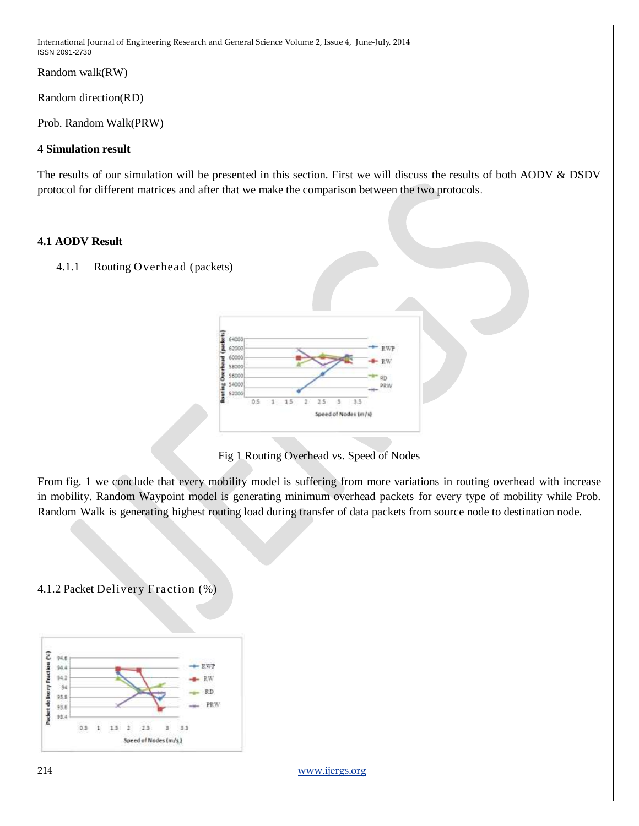Random walk(RW)

Random direction(RD)

Prob. Random Walk(PRW)

## **4 Simulation result**

The results of our simulation will be presented in this section. First we will discuss the results of both AODV & DSDV protocol for different matrices and after that we make the comparison between the two protocols.

## **4.1 AODV Result**





Fig 1 Routing Overhead vs. Speed of Nodes

From fig. 1 we conclude that every mobility model is suffering from more variations in routing overhead with increase in mobility. Random Waypoint model is generating minimum overhead packets for every type of mobility while Prob. Random Walk is generating highest routing load during transfer of data packets from source node to destination node.

4.1.2 Packet Delivery Fraction (%)



214 [www.ijergs.org](http://www.ijergs.org/)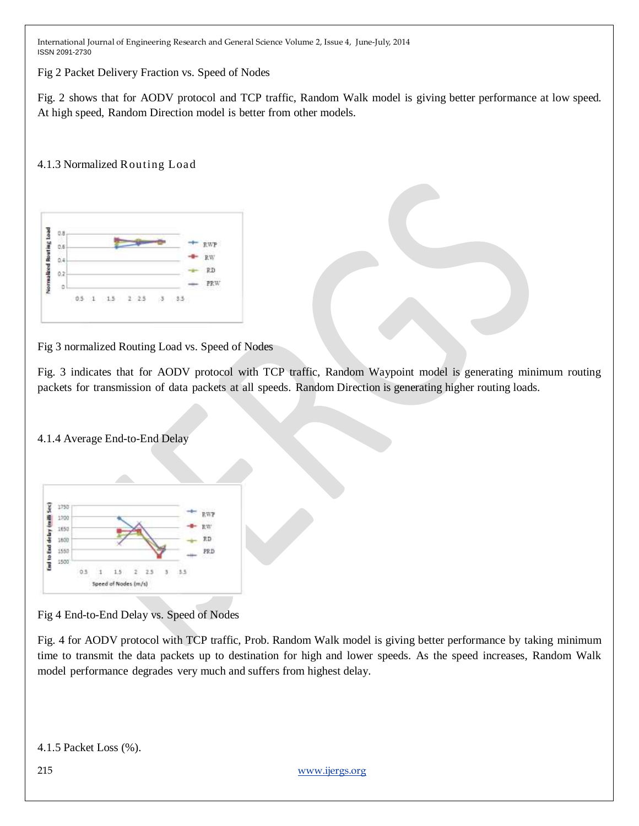Fig 2 Packet Delivery Fraction vs. Speed of Nodes

Fig. 2 shows that for AODV protocol and TCP traffic, Random Walk model is giving better performance at low speed. At high speed, Random Direction model is better from other models.

### 4.1.3 Normalized Routing Load



Fig 3 normalized Routing Load vs. Speed of Nodes

Fig. 3 indicates that for AODV protocol with TCP traffic, Random Waypoint model is generating minimum routing packets for transmission of data packets at all speeds. Random Direction is generating higher routing loads.

### 4.1.4 Average End-to-End Delay



Fig 4 End-to-End Delay vs. Speed of Nodes

Fig. 4 for AODV protocol with TCP traffic, Prob. Random Walk model is giving better performance by taking minimum time to transmit the data packets up to destination for high and lower speeds. As the speed increases, Random Walk model performance degrades very much and suffers from highest delay.

4.1.5 Packet Loss (%).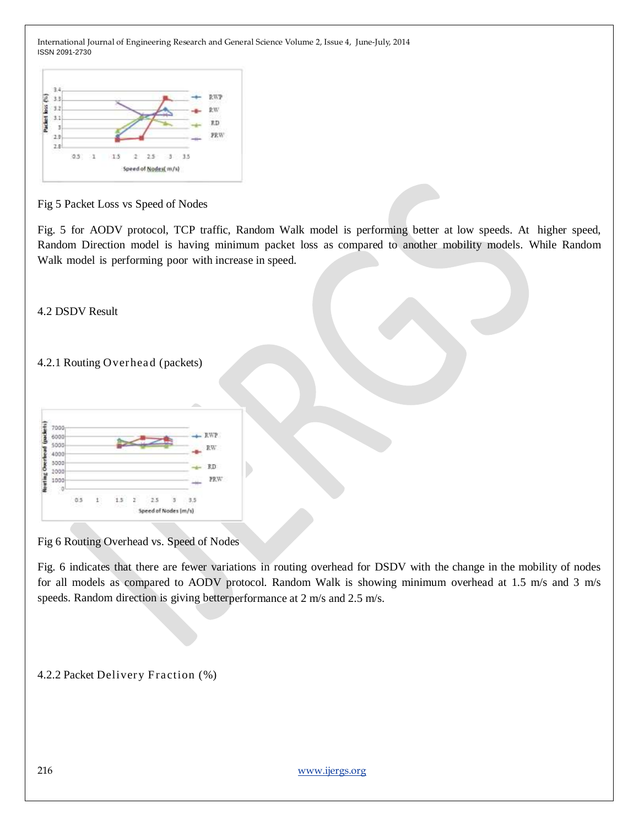

Fig 5 Packet Loss vs Speed of Nodes

Fig. 5 for AODV protocol, TCP traffic, Random Walk model is performing better at low speeds. At higher speed, Random Direction model is having minimum packet loss as compared to another mobility models. While Random Walk model is performing poor with increase in speed.

4.2 DSDV Result

4.2.1 Routing Overhead (packets)

| 6000 |     |                |    |   |     |     | - RWP |
|------|-----|----------------|----|---|-----|-----|-------|
| 5000 |     |                |    |   |     |     |       |
| 000  |     |                |    |   |     |     | RW    |
| 3000 |     |                |    |   |     |     | RD    |
| 2000 |     |                |    |   |     |     |       |
| 1000 |     |                |    |   |     |     | PRW   |
| w    | o's | $\mathfrak{t}$ |    | ï | 2.5 |     |       |
|      |     |                | л, |   |     | 5.5 |       |

Fig 6 Routing Overhead vs. Speed of Nodes

Fig. 6 indicates that there are fewer variations in routing overhead for DSDV with the change in the mobility of nodes for all models as compared to AODV protocol. Random Walk is showing minimum overhead at 1.5 m/s and 3 m/s speeds. Random direction is giving betterperformance at 2 m/s and 2.5 m/s.

4.2.2 Packet Delivery Fraction (%)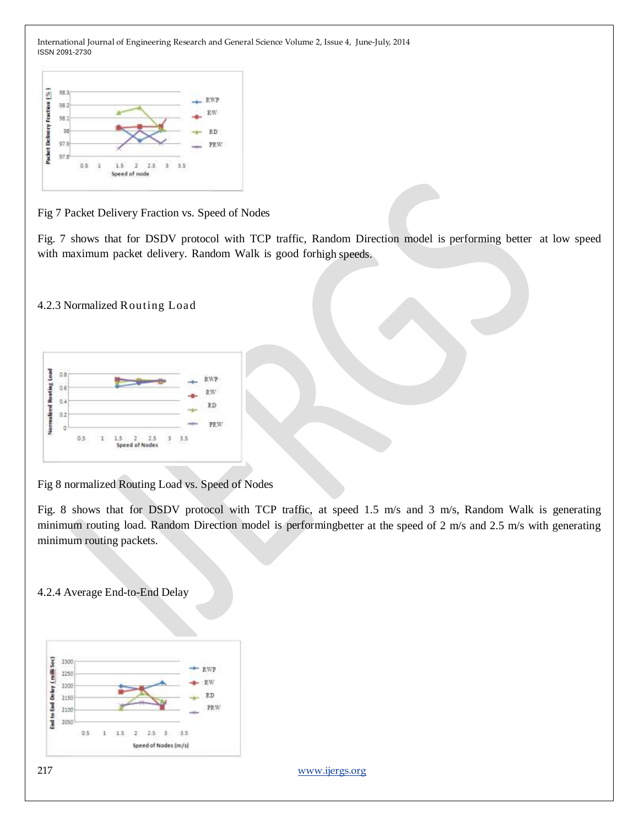

Fig 7 Packet Delivery Fraction vs. Speed of Nodes

Fig. 7 shows that for DSDV protocol with TCP traffic, Random Direction model is performing better at low speed with maximum packet delivery. Random Walk is good forhigh speeds.

4.2.3 Normalized Routing Load

| £  |  |  |                |   |     | RW <sup>-</sup> |
|----|--|--|----------------|---|-----|-----------------|
|    |  |  |                |   |     |                 |
| 92 |  |  |                |   |     | 9D              |
|    |  |  |                |   |     | PRW             |
|    |  |  | Speed of Nodes | ి | 3.3 |                 |

Fig 8 normalized Routing Load vs. Speed of Nodes

Fig. 8 shows that for DSDV protocol with TCP traffic, at speed 1.5 m/s and 3 m/s, Random Walk is generating minimum routing load. Random Direction model is performingbetter at the speed of 2 m/s and 2.5 m/s with generating minimum routing packets.

4.2.4 Average End-to-End Delay



217 [www.ijergs.org](http://www.ijergs.org/)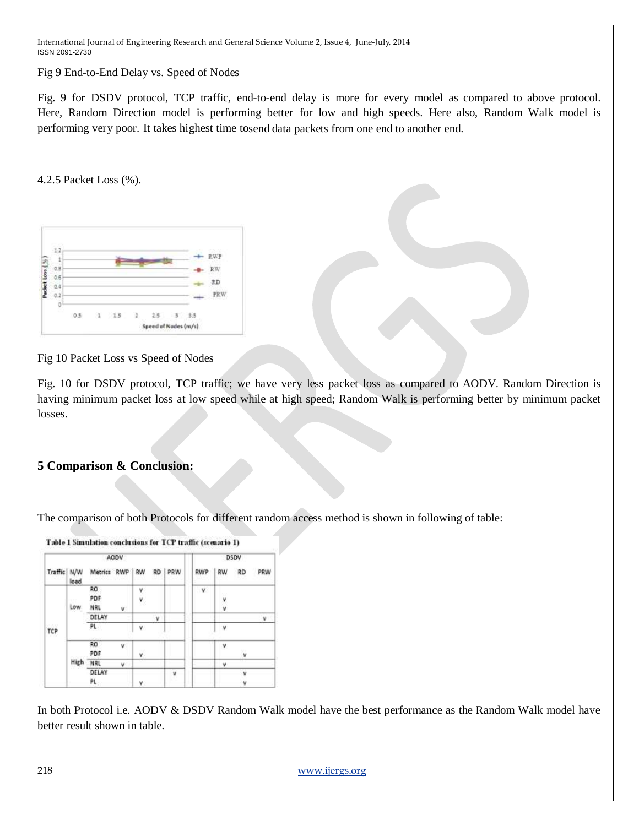Fig 9 End-to-End Delay vs. Speed of Nodes

Fig. 9 for DSDV protocol, TCP traffic, end-to-end delay is more for every model as compared to above protocol. Here, Random Direction model is performing better for low and high speeds. Here also, Random Walk model is performing very poor. It takes highest time tosend data packets from one end to another end.

4.2.5 Packet Loss (%).

| O.B |     |  |              |  |                                |
|-----|-----|--|--------------|--|--------------------------------|
|     |     |  |              |  | $H.\Phi$<br>R                  |
|     |     |  |              |  |                                |
| 6   |     |  |              |  | RD.                            |
|     |     |  |              |  |                                |
|     |     |  |              |  |                                |
| Ū   |     |  |              |  |                                |
|     | 0.5 |  |              |  |                                |
|     | 8   |  | $1 \t15 \t2$ |  | 3, 3.5<br>Speed of Nodes (m/s) |

Fig 10 Packet Loss vs Speed of Nodes

Fig. 10 for DSDV protocol, TCP traffic; we have very less packet loss as compared to AODV. Random Direction is having minimum packet loss at low speed while at high speed; Random Walk is performing better by minimum packet losses.

# **5 Comparison & Conclusion:**

The comparison of both Protocols for different random access method is shown in following of table:



In both Protocol i.e. AODV & DSDV Random Walk model have the best performance as the Random Walk model have better result shown in table.

218 [www.ijergs.org](http://www.ijergs.org/)